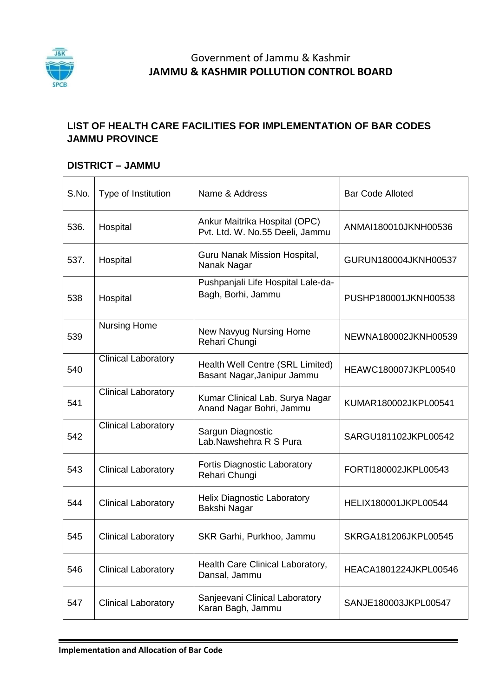

## Government of Jammu & Kashmir **JAMMU & KASHMIR POLLUTION CONTROL BOARD**

#### **LIST OF HEALTH CARE FACILITIES FOR IMPLEMENTATION OF BAR CODES JAMMU PROVINCE**

#### **DISTRICT – JAMMU**

| S.No. | Type of Institution        | Name & Address                                                   | <b>Bar Code Alloted</b> |
|-------|----------------------------|------------------------------------------------------------------|-------------------------|
| 536.  | Hospital                   | Ankur Maitrika Hospital (OPC)<br>Pvt. Ltd. W. No.55 Deeli, Jammu | ANMAI180010JKNH00536    |
| 537.  | Hospital                   | Guru Nanak Mission Hospital,<br>Nanak Nagar                      | GURUN180004JKNH00537    |
| 538   | Hospital                   | Pushpanjali Life Hospital Lale-da-<br>Bagh, Borhi, Jammu         | PUSHP180001JKNH00538    |
| 539   | <b>Nursing Home</b>        | New Navyug Nursing Home<br>Rehari Chungi                         | NEWNA180002JKNH00539    |
| 540   | <b>Clinical Laboratory</b> | Health Well Centre (SRL Limited)<br>Basant Nagar, Janipur Jammu  | HEAWC180007JKPL00540    |
| 541   | <b>Clinical Laboratory</b> | Kumar Clinical Lab. Surya Nagar<br>Anand Nagar Bohri, Jammu      | KUMAR180002JKPL00541    |
| 542   | <b>Clinical Laboratory</b> | Sargun Diagnostic<br>Lab.Nawshehra R S Pura                      | SARGU181102JKPL00542    |
| 543   | <b>Clinical Laboratory</b> | <b>Fortis Diagnostic Laboratory</b><br>Rehari Chungi             | FORTI180002JKPL00543    |
| 544   | <b>Clinical Laboratory</b> | <b>Helix Diagnostic Laboratory</b><br>Bakshi Nagar               | HELIX180001JKPL00544    |
| 545   | <b>Clinical Laboratory</b> | SKR Garhi, Purkhoo, Jammu                                        | SKRGA181206JKPL00545    |
| 546   | <b>Clinical Laboratory</b> | Health Care Clinical Laboratory,<br>Dansal, Jammu                | HEACA1801224JKPL00546   |
| 547   | <b>Clinical Laboratory</b> | Sanjeevani Clinical Laboratory<br>Karan Bagh, Jammu              | SANJE180003JKPL00547    |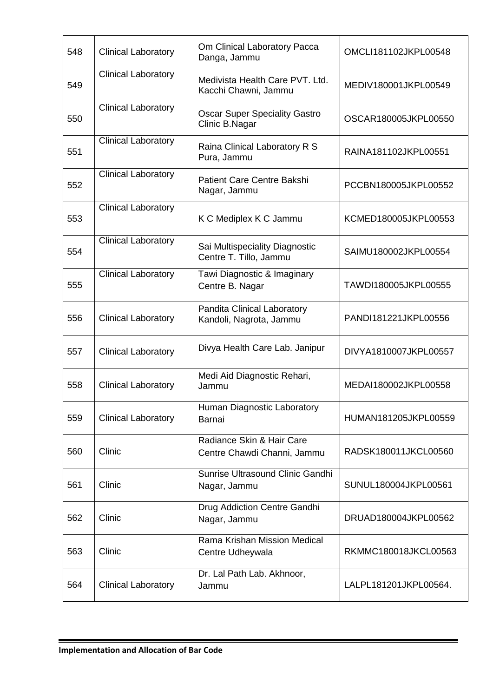| 548 | <b>Clinical Laboratory</b> | Om Clinical Laboratory Pacca<br>Danga, Jammu             | OMCLI181102JKPL00548  |
|-----|----------------------------|----------------------------------------------------------|-----------------------|
| 549 | <b>Clinical Laboratory</b> | Medivista Health Care PVT. Ltd.<br>Kacchi Chawni, Jammu  | MEDIV180001JKPL00549  |
| 550 | <b>Clinical Laboratory</b> | <b>Oscar Super Speciality Gastro</b><br>Clinic B.Nagar   | OSCAR180005JKPL00550  |
| 551 | <b>Clinical Laboratory</b> | Raina Clinical Laboratory R S<br>Pura, Jammu             | RAINA181102JKPL00551  |
| 552 | <b>Clinical Laboratory</b> | Patient Care Centre Bakshi<br>Nagar, Jammu               | PCCBN180005JKPL00552  |
| 553 | <b>Clinical Laboratory</b> | K C Mediplex K C Jammu                                   | KCMED180005JKPL00553  |
| 554 | Clinical Laboratory        | Sai Multispeciality Diagnostic<br>Centre T. Tillo, Jammu | SAIMU180002JKPL00554  |
| 555 | Clinical Laboratory        | Tawi Diagnostic & Imaginary<br>Centre B. Nagar           | TAWDI180005JKPL00555  |
| 556 | <b>Clinical Laboratory</b> | Pandita Clinical Laboratory<br>Kandoli, Nagrota, Jammu   | PANDI181221JKPL00556  |
| 557 | <b>Clinical Laboratory</b> | Divya Health Care Lab. Janipur                           | DIVYA1810007JKPL00557 |
| 558 | <b>Clinical Laboratory</b> | Medi Aid Diagnostic Rehari,<br>Jammu                     | MEDAI180002JKPL00558  |
| 559 | <b>Clinical Laboratory</b> | Human Diagnostic Laboratory<br>Barnai                    | HUMAN181205JKPL00559  |
| 560 | Clinic                     | Radiance Skin & Hair Care<br>Centre Chawdi Channi, Jammu | RADSK180011JKCL00560  |
| 561 | Clinic                     | Sunrise Ultrasound Clinic Gandhi<br>Nagar, Jammu         | SUNUL180004JKPL00561  |
| 562 | Clinic                     | Drug Addiction Centre Gandhi<br>Nagar, Jammu             | DRUAD180004JKPL00562  |
| 563 | Clinic                     | Rama Krishan Mission Medical<br>Centre Udheywala         | RKMMC180018JKCL00563  |
| 564 | <b>Clinical Laboratory</b> | Dr. Lal Path Lab. Akhnoor,<br>Jammu                      | LALPL181201JKPL00564. |

<u> 1989 - Johann Barn, mars ann an t-Amhain an t-Amhain an t-Amhain an t-Amhain an t-Amhain an t-Amhain an t-Amh</u>

 $\blacksquare$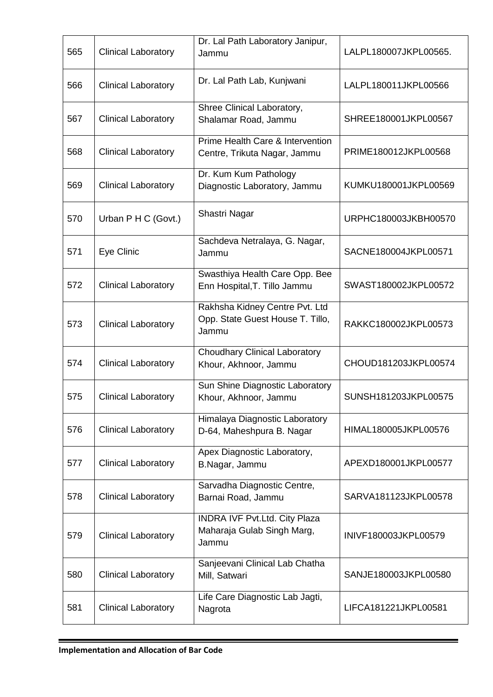| 565 | <b>Clinical Laboratory</b> | Dr. Lal Path Laboratory Janipur,<br>Jammu                                   | LALPL180007JKPL00565. |
|-----|----------------------------|-----------------------------------------------------------------------------|-----------------------|
| 566 | <b>Clinical Laboratory</b> | Dr. Lal Path Lab, Kunjwani                                                  | LALPL180011JKPL00566  |
| 567 | <b>Clinical Laboratory</b> | Shree Clinical Laboratory,<br>Shalamar Road, Jammu                          | SHREE180001JKPL00567  |
| 568 | <b>Clinical Laboratory</b> | Prime Health Care & Intervention<br>Centre, Trikuta Nagar, Jammu            | PRIME180012JKPL00568  |
| 569 | <b>Clinical Laboratory</b> | Dr. Kum Kum Pathology<br>Diagnostic Laboratory, Jammu                       | KUMKU180001JKPL00569  |
| 570 | Urban P H C (Govt.)        | Shastri Nagar                                                               | URPHC180003JKBH00570  |
| 571 | Eye Clinic                 | Sachdeva Netralaya, G. Nagar,<br>Jammu                                      | SACNE180004JKPL00571  |
| 572 | <b>Clinical Laboratory</b> | Swasthiya Health Care Opp. Bee<br>Enn Hospital, T. Tillo Jammu              | SWAST180002JKPL00572  |
| 573 | <b>Clinical Laboratory</b> | Rakhsha Kidney Centre Pvt. Ltd<br>Opp. State Guest House T. Tillo,<br>Jammu | RAKKC180002JKPL00573  |
| 574 | <b>Clinical Laboratory</b> | <b>Choudhary Clinical Laboratory</b><br>Khour, Akhnoor, Jammu               | CHOUD181203JKPL00574  |
| 575 | <b>Clinical Laboratory</b> | Sun Shine Diagnostic Laboratory<br>Khour, Akhnoor, Jammu                    | SUNSH181203JKPL00575  |
| 576 | <b>Clinical Laboratory</b> | Himalaya Diagnostic Laboratory<br>D-64, Maheshpura B. Nagar                 | HIMAL180005JKPL00576  |
| 577 | <b>Clinical Laboratory</b> | Apex Diagnostic Laboratory,<br>B.Nagar, Jammu                               | APEXD180001JKPL00577  |
| 578 | <b>Clinical Laboratory</b> | Sarvadha Diagnostic Centre,<br>Barnai Road, Jammu                           | SARVA181123JKPL00578  |
| 579 | <b>Clinical Laboratory</b> | <b>INDRA IVF Pvt.Ltd. City Plaza</b><br>Maharaja Gulab Singh Marg,<br>Jammu | INIVF180003JKPL00579  |
| 580 | <b>Clinical Laboratory</b> | Sanjeevani Clinical Lab Chatha<br>Mill, Satwari                             | SANJE180003JKPL00580  |
| 581 | <b>Clinical Laboratory</b> | Life Care Diagnostic Lab Jagti,<br>Nagrota                                  | LIFCA181221JKPL00581  |

<u> 1989 - Johann Barn, mars ann an t-Amhain an t-Amhain an t-Amhain an t-Amhain an t-Amhain an t-Amhain an t-Amh</u>

 $\blacksquare$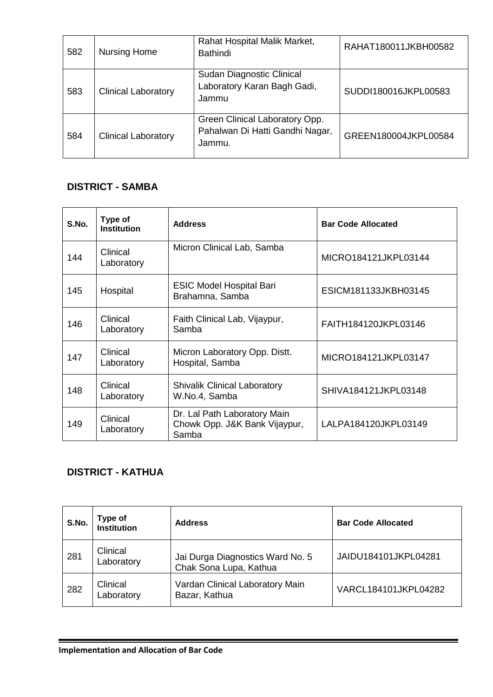| 582 | <b>Nursing Home</b>        | Rahat Hospital Malik Market,<br><b>Bathindi</b>                             | RAHAT180011JKBH00582 |
|-----|----------------------------|-----------------------------------------------------------------------------|----------------------|
| 583 | <b>Clinical Laboratory</b> | Sudan Diagnostic Clinical<br>Laboratory Karan Bagh Gadi,<br>Jammu           | SUDDI180016JKPL00583 |
| 584 | <b>Clinical Laboratory</b> | Green Clinical Laboratory Opp.<br>Pahalwan Di Hatti Gandhi Nagar,<br>Jammu. | GREEN180004JKPL00584 |

## **DISTRICT - SAMBA**

| S.No. | Type of<br><b>Institution</b> | <b>Address</b>                                                         | <b>Bar Code Allocated</b> |
|-------|-------------------------------|------------------------------------------------------------------------|---------------------------|
| 144   | Clinical<br>Laboratory        | Micron Clinical Lab, Samba                                             | MICRO184121JKPL03144      |
| 145   | Hospital                      | <b>ESIC Model Hospital Bari</b><br>Brahamna, Samba                     | ESICM181133JKBH03145      |
| 146   | Clinical<br>Laboratory        | Faith Clinical Lab, Vijaypur,<br>Samba                                 | FAITH184120JKPL03146      |
| 147   | Clinical<br>Laboratory        | Micron Laboratory Opp. Distt.<br>Hospital, Samba                       | MICRO184121JKPL03147      |
| 148   | Clinical<br>Laboratory        | <b>Shivalik Clinical Laboratory</b><br>W.No.4, Samba                   | SHIVA184121JKPL03148      |
| 149   | Clinical<br>Laboratory        | Dr. Lal Path Laboratory Main<br>Chowk Opp. J&K Bank Vijaypur,<br>Samba | LALPA184120JKPL03149      |

# **DISTRICT - KATHUA**

| S.No. | Type of<br><b>Institution</b> | <b>Address</b>                                             | <b>Bar Code Allocated</b> |
|-------|-------------------------------|------------------------------------------------------------|---------------------------|
| 281   | Clinical<br>Laboratory        | Jai Durga Diagnostics Ward No. 5<br>Chak Sona Lupa, Kathua | JAIDU184101JKPL04281      |
| 282   | Clinical<br>Laboratory        | Vardan Clinical Laboratory Main<br>Bazar, Kathua           | VARCL184101JKPL04282      |

<u> 1989 - Jan Sarajević, politički politički politički kalendar († 1908)</u>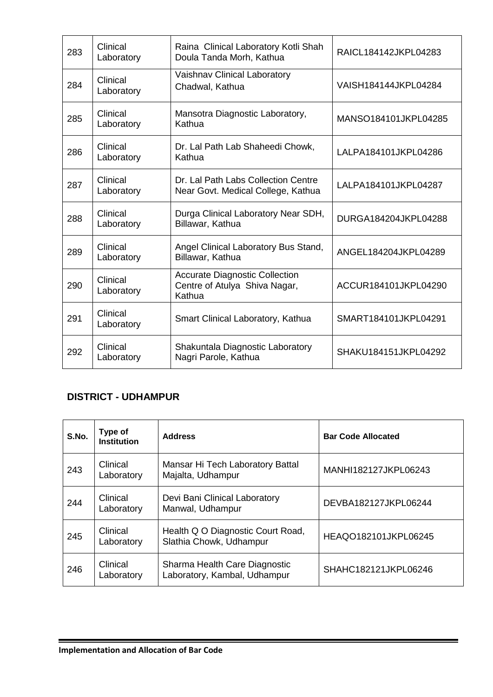| 283 | Clinical<br>Laboratory | Raina Clinical Laboratory Kotli Shah<br>Doula Tanda Morh, Kathua                 | RAICL184142JKPL04283 |
|-----|------------------------|----------------------------------------------------------------------------------|----------------------|
| 284 | Clinical<br>Laboratory | Vaishnav Clinical Laboratory<br>Chadwal, Kathua                                  | VAISH184144JKPL04284 |
| 285 | Clinical<br>Laboratory | Mansotra Diagnostic Laboratory,<br>Kathua                                        | MANSO184101JKPL04285 |
| 286 | Clinical<br>Laboratory | Dr. Lal Path Lab Shaheedi Chowk,<br>Kathua                                       | LALPA184101JKPL04286 |
| 287 | Clinical<br>Laboratory | Dr. Lal Path Labs Collection Centre<br>Near Govt. Medical College, Kathua        | LALPA184101JKPL04287 |
| 288 | Clinical<br>Laboratory | Durga Clinical Laboratory Near SDH,<br>Billawar, Kathua                          | DURGA184204JKPL04288 |
| 289 | Clinical<br>Laboratory | Angel Clinical Laboratory Bus Stand,<br>Billawar, Kathua                         | ANGEL184204JKPL04289 |
| 290 | Clinical<br>Laboratory | <b>Accurate Diagnostic Collection</b><br>Centre of Atulya Shiva Nagar,<br>Kathua | ACCUR184101JKPL04290 |
| 291 | Clinical<br>Laboratory | Smart Clinical Laboratory, Kathua                                                | SMART184101JKPL04291 |
| 292 | Clinical<br>Laboratory | Shakuntala Diagnostic Laboratory<br>Nagri Parole, Kathua                         | SHAKU184151JKPL04292 |

## **DISTRICT - UDHAMPUR**

| S.No. | Type of<br><b>Institution</b> | <b>Address</b>                                                | <b>Bar Code Allocated</b> |
|-------|-------------------------------|---------------------------------------------------------------|---------------------------|
| 243   | Clinical<br>Laboratory        | Mansar Hi Tech Laboratory Battal<br>Majalta, Udhampur         | MANHI182127JKPL06243      |
| 244   | Clinical<br>Laboratory        | Devi Bani Clinical Laboratory<br>Manwal, Udhampur             | DEVBA182127JKPL06244      |
| 245   | Clinical<br>Laboratory        | Health Q O Diagnostic Court Road,<br>Slathia Chowk, Udhampur  | HEAQO182101JKPL06245      |
| 246   | Clinical<br>Laboratory        | Sharma Health Care Diagnostic<br>Laboratory, Kambal, Udhampur | SHAHC182121JKPL06246      |

 $\blacksquare$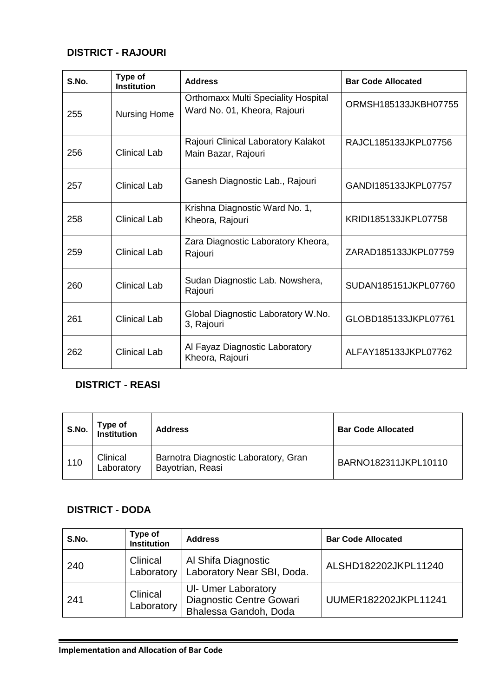### **DISTRICT - RAJOURI**

| S.No. | Type of<br><b>Institution</b> | <b>Address</b>                                                             | <b>Bar Code Allocated</b> |
|-------|-------------------------------|----------------------------------------------------------------------------|---------------------------|
| 255   | <b>Nursing Home</b>           | <b>Orthomaxx Multi Speciality Hospital</b><br>Ward No. 01, Kheora, Rajouri | ORMSH185133JKBH07755      |
| 256   | Clinical Lab                  | Rajouri Clinical Laboratory Kalakot<br>Main Bazar, Rajouri                 | RAJCL185133JKPL07756      |
| 257   | <b>Clinical Lab</b>           | Ganesh Diagnostic Lab., Rajouri                                            | GAND1185133JKPL07757      |
| 258   | Clinical Lab                  | Krishna Diagnostic Ward No. 1,<br>Kheora, Rajouri                          | KRIDI185133JKPL07758      |
| 259   | Clinical Lab                  | Zara Diagnostic Laboratory Kheora,<br>Rajouri                              | ZARAD185133JKPL07759      |
| 260   | Clinical Lab                  | Sudan Diagnostic Lab. Nowshera,<br>Rajouri                                 | SUDAN185151JKPL07760      |
| 261   | <b>Clinical Lab</b>           | Global Diagnostic Laboratory W.No.<br>3, Rajouri                           | GLOBD185133JKPL07761      |
| 262   | <b>Clinical Lab</b>           | Al Fayaz Diagnostic Laboratory<br>Kheora, Rajouri                          | ALFAY185133JKPL07762      |

# **DISTRICT - REASI**

| S.No. | Type of<br>Institution | <b>Address</b>                                           | <b>Bar Code Allocated</b> |
|-------|------------------------|----------------------------------------------------------|---------------------------|
| 110   | Clinical<br>Laboratory | Barnotra Diagnostic Laboratory, Gran<br>Bayotrian, Reasi | BARNO182311JKPL10110      |

#### **DISTRICT - DODA**

| S.No. | Type of<br><b>Institution</b> | <b>Address</b>                                                                  | <b>Bar Code Allocated</b> |
|-------|-------------------------------|---------------------------------------------------------------------------------|---------------------------|
| 240   | Clinical<br>Laboratory        | Al Shifa Diagnostic<br>Laboratory Near SBI, Doda.                               | ALSHD182202JKPL11240      |
| 241   | Clinical<br>Laboratory        | <b>UI- Umer Laboratory</b><br>Diagnostic Centre Gowari<br>Bhalessa Gandoh, Doda | UUMER182202JKPL11241      |